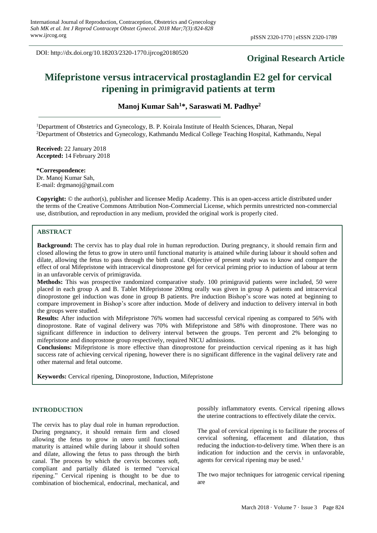DOI: http://dx.doi.org/10.18203/2320-1770.ijrcog20180520

# **Original Research Article**

# **Mifepristone versus intracervical prostaglandin E2 gel for cervical ripening in primigravid patients at term**

**Manoj Kumar Sah<sup>1</sup>\*, Saraswati M. Padhye<sup>2</sup>**

<sup>1</sup>Department of Obstetrics and Gynecology, B. P. Koirala Institute of Health Sciences, Dharan, Nepal <sup>2</sup>Department of Obstetrics and Gynecology, Kathmandu Medical College Teaching Hospital, Kathmandu, Nepal

**Received:** 22 January 2018 **Accepted:** 14 February 2018

**\*Correspondence:** Dr. Manoj Kumar Sah, E-mail: drgmanoj@gmail.com

**Copyright:** © the author(s), publisher and licensee Medip Academy. This is an open-access article distributed under the terms of the Creative Commons Attribution Non-Commercial License, which permits unrestricted non-commercial use, distribution, and reproduction in any medium, provided the original work is properly cited.

#### **ABSTRACT**

**Background:** The cervix has to play dual role in human reproduction. During pregnancy, it should remain firm and closed allowing the fetus to grow in utero until functional maturity is attained while during labour it should soften and dilate, allowing the fetus to pass through the birth canal. Objective of present study was to know and compare the effect of oral Mifepristone with intracervical dinoprostone gel for cervical priming prior to induction of labour at term in an unfavorable cervix of primigravida.

**Methods:** This was prospective randomized comparative study. 100 primigravid patients were included, 50 were placed in each group A and B. Tablet Mifepristone 200mg orally was given in group A patients and intracervical dinoprostone gel induction was done in group B patients. Pre induction Bishop's score was noted at beginning to compare improvement in Bishop's score after induction. Mode of delivery and induction to delivery interval in both the groups were studied.

**Results:** After induction with Mifepristone 76% women had successful cervical ripening as compared to 56% with dinoprostone. Rate of vaginal delivery was 70% with Mifepristone and 58% with dinoprostone. There was no significant difference in induction to delivery interval between the groups. Ten percent and 2% belonging to mifepristone and dinoprostone group respectively, required NICU admissions.

**Conclusions:** Mifepristone is more effective than dinoprostone for preinduction cervical ripening as it has high success rate of achieving cervical ripening, however there is no significant difference in the vaginal delivery rate and other maternal and fetal outcome.

**Keywords:** Cervical ripening, Dinoprostone, Induction, Mifepristone

#### **INTRODUCTION**

The cervix has to play dual role in human reproduction. During pregnancy, it should remain firm and closed allowing the fetus to grow in utero until functional maturity is attained while during labour it should soften and dilate, allowing the fetus to pass through the birth canal. The process by which the cervix becomes soft, compliant and partially dilated is termed "cervical ripening." Cervical ripening is thought to be due to combination of biochemical, endocrinal, mechanical, and possibly inflammatory events. Cervical ripening allows the uterine contractions to effectively dilate the cervix.

The goal of cervical ripening is to facilitate the process of cervical softening, effacement and dilatation, thus reducing the induction-to-delivery time. When there is an indication for induction and the cervix in unfavorable, agents for cervical ripening may be used.<sup>1</sup>

The two major techniques for iatrogenic cervical ripening are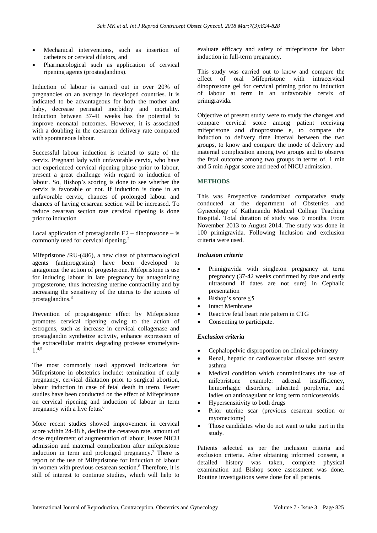- Mechanical interventions, such as insertion of catheters or cervical dilators, and
- Pharmacological such as application of cervical ripening agents (prostaglandins).

Induction of labour is carried out in over 20% of pregnancies on an average in developed countries. It is indicated to be advantageous for both the mother and baby, decrease perinatal morbidity and mortality. Induction between 37-41 weeks has the potential to improve neonatal outcomes. However, it is associated with a doubling in the caesarean delivery rate compared with spontaneous labour.

Successful labour induction is related to state of the cervix. Pregnant lady with unfavorable cervix, who have not experienced cervical ripening phase prior to labour, present a great challenge with regard to induction of labour. So, Bishop's scoring is done to see whether the cervix is favorable or not. If induction is done in an unfavorable cervix, chances of prolonged labour and chances of having cesarean section will be increased. To reduce cesarean section rate cervical ripening is done prior to induction.

Local application of prostaglandin  $E2 -$ dinoprostone – is commonly used for cervical ripening.<sup>2</sup>

Mifepristone /RU-(486), a new class of pharmacological agents (antiprogestins) have been developed to antagonize the action of progesterone. Mifepristone is use for inducing labour in late pregnancy by antagonizing progesterone, thus increasing uterine contractility and by increasing the sensitivity of the uterus to the actions of prostaglandins.<sup>3</sup>

Prevention of progestogenic effect by Mifepristone promotes cervical ripening owing to the action of estrogens, such as increase in cervical collagenase and prostaglandin synthetize activity, enhance expression of the extracellular matrix degrading protease stromelysin-1.4,5

The most commonly used approved indications for Mifepristone in obstetrics include: termination of early pregnancy, cervical dilatation prior to surgical abortion, labour induction in case of fetal death in utero. Fewer studies have been conducted on the effect of Mifepristone on cervical ripening and induction of labour in term pregnancy with a live fetus.<sup>6</sup>

More recent studies showed improvement in cervical score within 24-48 h, decline the cesarean rate, amount of dose requirement of augmentation of labour, lesser NICU admission and maternal complication after mifepristone induction in term and prolonged pregnancy.<sup>7</sup> There is report of the use of Mifepristone for induction of labour in women with previous cesarean section.<sup>8</sup> Therefore, it is still of interest to continue studies, which will help to evaluate efficacy and safety of mifepristone for labor induction in full-term pregnancy.

This study was carried out to know and compare the effect of oral Mifepristone with intracervical dinoprostone gel for cervical priming prior to induction of labour at term in an unfavorable cervix of primigravida.

Objective of present study were to study the changes and compare cervical score among patient receiving mifepristone and dinoprostone e, to compare the induction to delivery time interval between the two groups, to know and compare the mode of delivery and maternal complication among two groups and to observe the fetal outcome among two groups in terms of, 1 min and 5 min Apgar score and need of NICU admission.

# **METHODS**

This was Prospective randomized comparative study conducted at the department of Obstetrics and Gynecology of Kathmandu Medical College Teaching Hospital. Total duration of study was 9 months. From November 2013 to August 2014. The study was done in 100 primigravida. Following Inclusion and exclusion criteria were used.

# *Inclusion criteria*

- Primigravida with singleton pregnancy at term pregnancy (37-42 weeks confirmed by date and early ultrasound if dates are not sure) in Cephalic presentation
- Bishop's score <5
- **Intact Membrane**
- Reactive fetal heart rate pattern in CTG
- Consenting to participate.

# *Exclusion criteria*

- Cephalopelvic disproportion on clinical pelvimetry
- Renal, hepatic or cardiovascular disease and severe asthma
- Medical condition which contraindicates the use of mifepristone example: adrenal insufficiency, hemorrhagic disorders, inherited porphyria, and ladies on anticoagulant or long term corticosteroids
- Hypersensitivity to both drugs
- Prior uterine scar (previous cesarean section or myomectomy)
- Those candidates who do not want to take part in the study.

Patients selected as per the inclusion criteria and exclusion criteria. After obtaining informed consent, a detailed history was taken, complete physical examination and Bishop score assessment was done. Routine investigations were done for all patients.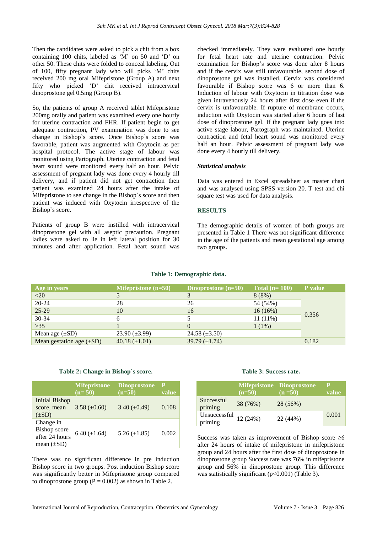Then the candidates were asked to pick a chit from a box containing 100 chits, labeled as 'M' on 50 and 'D' on other 50. These chits were folded to conceal labeling. Out of 100, fifty pregnant lady who will picks 'M' chits received 200 mg oral Mifepristone (Group A) and next fifty who picked 'D' chit received intracervical dinoprostone gel 0.5mg (Group B).

So, the patients of group A received tablet Mifepristone 200mg orally and patient was examined every one hourly for uterine contraction and FHR. If patient begin to get adequate contraction, PV examination was done to see change in Bishop`s score. Once Bishop`s score was favorable, patient was augmented with Oxytocin as per hospital protocol. The active stage of labour was monitored using Partograph. Uterine contraction and fetal heart sound were monitored every half an hour. Pelvic assessment of pregnant lady was done every 4 hourly till delivery, and if patient did not get contraction then patient was examined 24 hours after the intake of Mifepristone to see change in the Bishop`s score and then patient was induced with Oxytocin irrespective of the Bishop`s score.

Patients of group B were instilled with intracervical dinoprostone gel with all aseptic precaution. Pregnant ladies were asked to lie in left lateral position for 30 minutes and after application. Fetal heart sound was checked immediately. They were evaluated one hourly for fetal heart rate and uterine contraction. Pelvic examination for Bishop's score was done after 8 hours and if the cervix was still unfavourable, second dose of dinoprostone gel was installed. Cervix was considered favourable if Bishop score was 6 or more than 6. Induction of labour with Oxytocin in titration dose was given intravenously 24 hours after first dose even if the cervix is unfavourable. If rupture of membrane occurs, induction with Oxytocin was started after 6 hours of last dose of dinoprostone gel. If the pregnant lady goes into active stage labour, Partograph was maintained. Uterine contraction and fetal heart sound was monitored every half an hour. Pelvic assessment of pregnant lady was done every 4 hourly till delivery.

# *Statistical analysis*

Data was entered in Excel spreadsheet as master chart and was analysed using SPSS version 20. T test and chi square test was used for data analysis.

#### **RESULTS**

The demographic details of women of both groups are presented in Table 1 There was not significant difference in the age of the patients and mean gestational age among two groups.

| Age in years                  | <b>Mifepristone</b> $(n=50)$ | Dinoprostone $(n=50)$ | Total $(n=100)$ | P value |
|-------------------------------|------------------------------|-----------------------|-----------------|---------|
| $\langle 20 \rangle$          |                              |                       | 8(8%)           |         |
| $20 - 24$                     | 28                           | 26                    | 54 (54%)        |         |
| $25-29$                       | 10                           | 16                    | 16(16%)         |         |
| $30 - 34$                     | 6                            |                       | $11(11\%)$      | 0.356   |
| $>35$                         |                              |                       | $1(1\%)$        |         |
| Mean age $(\pm SD)$           | $23.90 \ (\pm 3.99)$         | 24.58 $(\pm 3.50)$    |                 |         |
| Mean gestation age $(\pm SD)$ | 40.18 $(\pm 1.01)$           | 39.79 $(\pm 1.74)$    |                 | 0.182   |

# **Table 1: Demographic data.**

#### **Table 2: Change in Bishop`s score.**

|                                                                       | <b>Mifepristone</b><br>$(n=50)$ | <b>Dinoprostone</b><br>$(n=50)$ | $\mathbf{p}$<br>value |
|-----------------------------------------------------------------------|---------------------------------|---------------------------------|-----------------------|
| <b>Initial Bishop</b><br>score, mean<br>$(\pm SD)$                    | $3.58 \ (\pm 0.60)$             | $3.40 \ (\pm 0.49)$             | 0.108                 |
| Change in<br><b>Bishop</b> score<br>after 24 hours<br>mean $(\pm SD)$ | $6.40 (\pm 1.64)$               | 5.26 $(\pm 1.85)$               | 0.002                 |

There was no significant difference in pre induction Bishop score in two groups. Post induction Bishop score was significantly better in Mifepristone group compared to dinoprostone group  $(P = 0.002)$  as shown in Table 2.

# **Table 3: Success rate.**

|                         | $(n=50)$ | <b>Mifepristone Dinoprostone</b><br>$(n = 50)$ | р<br>value |
|-------------------------|----------|------------------------------------------------|------------|
| Successful<br>priming   | 38 (76%) | 28 (56%)                                       |            |
| Unsuccessful<br>priming | 12(24%)  | 22 (44%)                                       | 0.001      |

Success was taken as improvement of Bishop score  $\geq 6$ after 24 hours of intake of mifepristone in mifepristone group and 24 hours after the first dose of dinoprostone in dinoprostone group Success rate was 76% in mifepristone group and 56% in dinoprostone group. This difference was statistically significant (p<0.001) (Table 3).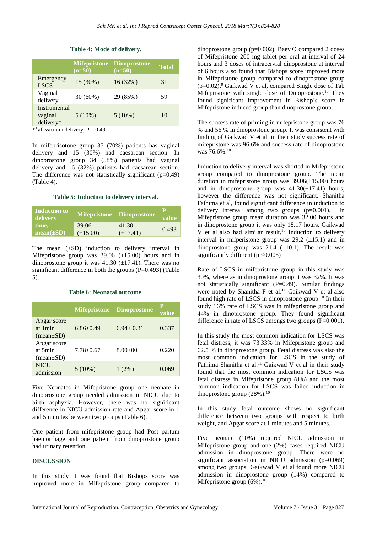# **Table 4: Mode of delivery.**

|                                      | <b>Mifepristone</b><br>$(n=50)$ | <b>Dinoprostone</b><br>$(n=50)$ | <b>Total</b> |
|--------------------------------------|---------------------------------|---------------------------------|--------------|
| Emergency<br><b>LSCS</b>             | 15 (30%)                        | 16(32%)                         | 31           |
| Vaginal<br>delivery                  | 30 (60%)                        | 29 (85%)                        | 59           |
| Instrumental<br>vaginal<br>delivery* | 5(10%)                          | $5(10\%)$                       | 10           |

\*\*all vacuum delivery,  $P = 0.49$ 

In mifeprisotone group 35 (70%) patients has vaginal delivery and 15 (30%) had caesarean section. In dinoprostone group 34 (58%) patients had vaginal delivery and 16 (32%) patients had caesarean section. The difference was not statistically significant  $(p=0.49)$ (Table 4).

# **Table 5: Induction to delivery interval.**

| Induction to<br>delivery |               | Mifepristone Dinoprostone | value |
|--------------------------|---------------|---------------------------|-------|
| time,                    | 39.06         | 41.30                     | 0.493 |
| $mean(\pm SD)$           | $(\pm 15.00)$ | $(\pm 17.41)$             |       |

The mean  $(\pm SD)$  induction to delivery interval in Mifepristone group was  $39.06 \ (\pm 15.00)$  hours and in dinoprostone group it was  $41.30$  ( $\pm$ 17.41). There was no significant difference in both the groups  $(P=0.493)$  (Table 5).

# **Table 6: Neonatal outcome.**

|                                                        |               | <b>Mifepristone Dinoprostone</b> | P<br>value |
|--------------------------------------------------------|---------------|----------------------------------|------------|
| Apgar score<br>at 1 min<br>$(mean \pm SD)$             | $6.86 + 0.49$ | $6.94 \pm 0.31$                  | 0.337      |
| Apgar score<br>at 5min<br>$(\text{mean}\pm S\text{D})$ | $7.78 + 0.67$ | $8.00+00$                        | 0.220      |
| <b>NICU</b><br>admission                               | $5(10\%)$     | $1(2\%)$                         | 0.069      |

Five Neonates in Mifepristone group one neonate in dinoprostone group needed admission in NICU due to birth asphyxia. However, there was no significant difference in NICU admission rate and Apgar score in 1 and 5 minutes between two groups (Table 6).

One patient from mifepristone group had Post partum haemorrhage and one patient from dinoprostone group had urinary retention.

# **DISCUSSION**

In this study it was found that Bishops score was improved more in Mifepristone group compared to dinoprostone group (p=0.002). Baev O compared 2 doses of Mifepristone 200 mg tablet per oral at interval of 24 hours and 3 doses of intracervial dinoprostone at interval of 6 hours also found that Bishops score improved more in Mifepristone group compared to dinoprostone group (p=0.02). <sup>9</sup> Gaikwad V et al, compared Single dose of Tab Mifepristone with single dose of Dinoprostone. <sup>10</sup> They found significant improvement in Bishop's score in Mifepristone induced group than dinoprostone group.

The success rate of priming in mifepristone group was 76 % and 56 % in dinoprostone group. It was consistent with finding of Gaikwad V et al, in their study success rate of mifepristone was 96.6% and success rate of dinoprostone was 76.6%.<sup>10</sup>

Induction to delivery interval was shorted in Mifepristone group compared to dinoprostone group. The mean duration in mifepristone group was  $39.06(\pm 15.00)$  hours and in dinoprostone group was  $41.30(\pm 17.41)$  hours, however the difference was not significant. Shanitha Fathima et al, found significant difference in induction to delivery interval among two groups  $(p=0.001)$ .<sup>11</sup> In Mifepristone group mean duration was 32.00 hours and in dinoprostone group it was only 18.17 hours. Gaikwad V et al also had similar result.<sup>10</sup> Induction to delivery interval in mifperistone group was  $29.2$  ( $\pm$ 15.1) and in dinoprostone group was  $21.4$  ( $\pm 10.1$ ). The result was significantly different ( $p < 0.005$ )

Rate of LSCS in mifepristone group in this study was 30%, where as in dinoprostone group it was 32%. It was not statistically significant  $(P=0.49)$ . Similar findings were noted by Shanitha F et al. <sup>11</sup> Gaikwad V et al also found high rate of LSCS in dinoprostone group. <sup>10</sup> In their study 16% rate of LSCS was in mifepristone group and 44% in dinoprostone group. They found significant difference in rate of LSCS amongs two groups (P=0.001).

In this study the most common indication for LSCS was fetal distress, it was 73.33% in Mifepristone group and 62.5 % in dinoprostone group. Fetal distress was also the most common indication for LSCS in the study of Fathima Shanitha et al.<sup>11</sup> Gaikwad V et al in their study found that the most common indication for LSCS was fetal distress in Mifepristone group (8%) and the most common indication for LSCS was failed induction in dinoprostone group  $(28\%)$ .<sup>10</sup>

In this study fetal outcome shows no significant difference between two groups with respect to birth weight, and Apgar score at 1 minutes and 5 minutes.

Five neonate (10%) required NICU admission in Mifepristone group and one (2%) cases required NICU admission in dinoprostone group. There were no significant association in NICU admission (p=0.069) among two groups. Gaikwad V et al found more NICU admission in dinoprostone group (14%) compared to Mifepristone group  $(6\%)$ .<sup>10</sup>